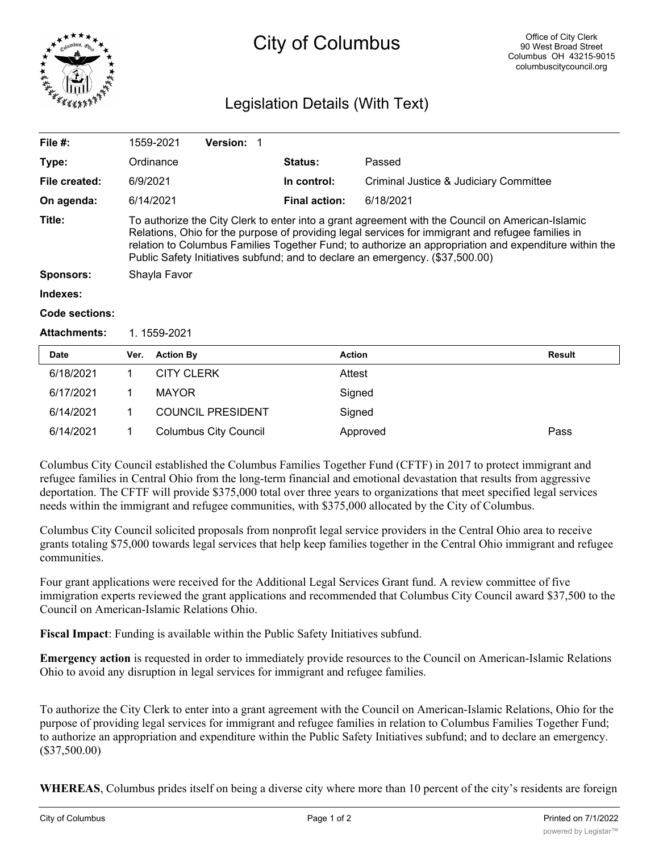

# City of Columbus

# Legislation Details (With Text)

| File $#$ :          |                                                                                                                                                                                                                                                                                                                                                                                                 | 1559-2021         | <b>Version: 1</b> |  |                      |                                        |               |  |
|---------------------|-------------------------------------------------------------------------------------------------------------------------------------------------------------------------------------------------------------------------------------------------------------------------------------------------------------------------------------------------------------------------------------------------|-------------------|-------------------|--|----------------------|----------------------------------------|---------------|--|
| Type:               |                                                                                                                                                                                                                                                                                                                                                                                                 | Ordinance         |                   |  | Status:              | Passed                                 |               |  |
| File created:       | 6/9/2021                                                                                                                                                                                                                                                                                                                                                                                        |                   |                   |  | In control:          | Criminal Justice & Judiciary Committee |               |  |
| On agenda:          |                                                                                                                                                                                                                                                                                                                                                                                                 | 6/14/2021         |                   |  | <b>Final action:</b> | 6/18/2021                              |               |  |
| Title:              | To authorize the City Clerk to enter into a grant agreement with the Council on American-Islamic<br>Relations, Ohio for the purpose of providing legal services for immigrant and refugee families in<br>relation to Columbus Families Together Fund; to authorize an appropriation and expenditure within the<br>Public Safety Initiatives subfund; and to declare an emergency. (\$37,500.00) |                   |                   |  |                      |                                        |               |  |
| <b>Sponsors:</b>    | Shayla Favor                                                                                                                                                                                                                                                                                                                                                                                    |                   |                   |  |                      |                                        |               |  |
| Indexes:            |                                                                                                                                                                                                                                                                                                                                                                                                 |                   |                   |  |                      |                                        |               |  |
| Code sections:      |                                                                                                                                                                                                                                                                                                                                                                                                 |                   |                   |  |                      |                                        |               |  |
| <b>Attachments:</b> | 1.1559-2021                                                                                                                                                                                                                                                                                                                                                                                     |                   |                   |  |                      |                                        |               |  |
| <b>Date</b>         | Ver.                                                                                                                                                                                                                                                                                                                                                                                            | <b>Action By</b>  |                   |  | <b>Action</b>        |                                        | <b>Result</b> |  |
| 6/18/2021           |                                                                                                                                                                                                                                                                                                                                                                                                 | <b>CITY CLERK</b> |                   |  | Attest               |                                        |               |  |
|                     |                                                                                                                                                                                                                                                                                                                                                                                                 |                   |                   |  |                      |                                        |               |  |

| 6/14/2021<br><b>COUNCIL PRESIDENT</b><br>Signed<br>6/14/2021<br>Columbus City Council<br>Pass<br>Approved |  |  |  |
|-----------------------------------------------------------------------------------------------------------|--|--|--|
|                                                                                                           |  |  |  |
|                                                                                                           |  |  |  |

Columbus City Council established the Columbus Families Together Fund (CFTF) in 2017 to protect immigrant and refugee families in Central Ohio from the long-term financial and emotional devastation that results from aggressive deportation. The CFTF will provide \$375,000 total over three years to organizations that meet specified legal services needs within the immigrant and refugee communities, with \$375,000 allocated by the City of Columbus.

Columbus City Council solicited proposals from nonprofit legal service providers in the Central Ohio area to receive grants totaling \$75,000 towards legal services that help keep families together in the Central Ohio immigrant and refugee communities.

Four grant applications were received for the Additional Legal Services Grant fund. A review committee of five immigration experts reviewed the grant applications and recommended that Columbus City Council award \$37,500 to the Council on American-Islamic Relations Ohio.

**Fiscal Impact**: Funding is available within the Public Safety Initiatives subfund.

6/17/2021 1 MAYOR Signed

**Emergency action** is requested in order to immediately provide resources to the Council on American-Islamic Relations Ohio to avoid any disruption in legal services for immigrant and refugee families.

To authorize the City Clerk to enter into a grant agreement with the Council on American-Islamic Relations, Ohio for the purpose of providing legal services for immigrant and refugee families in relation to Columbus Families Together Fund; to authorize an appropriation and expenditure within the Public Safety Initiatives subfund; and to declare an emergency. (\$37,500.00)

**WHEREAS**, Columbus prides itself on being a diverse city where more than 10 percent of the city's residents are foreign